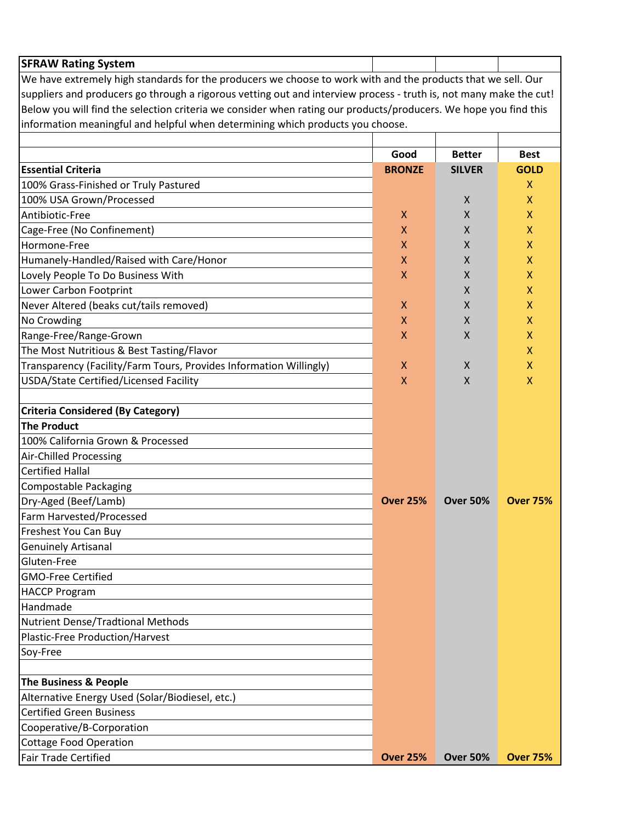| <b>SFRAW Rating System</b>                                                                                         |                                           |                 |                 |  |
|--------------------------------------------------------------------------------------------------------------------|-------------------------------------------|-----------------|-----------------|--|
| We have extremely high standards for the producers we choose to work with and the products that we sell. Our       |                                           |                 |                 |  |
| suppliers and producers go through a rigorous vetting out and interview process - truth is, not many make the cut! |                                           |                 |                 |  |
| Below you will find the selection criteria we consider when rating our products/producers. We hope you find this   |                                           |                 |                 |  |
| information meaningful and helpful when determining which products you choose.                                     |                                           |                 |                 |  |
|                                                                                                                    |                                           |                 |                 |  |
|                                                                                                                    | Good                                      | <b>Better</b>   | <b>Best</b>     |  |
| <b>Essential Criteria</b>                                                                                          | <b>BRONZE</b>                             | <b>SILVER</b>   | <b>GOLD</b>     |  |
| 100% Grass-Finished or Truly Pastured                                                                              |                                           |                 | X               |  |
| 100% USA Grown/Processed                                                                                           |                                           | X               | X               |  |
| Antibiotic-Free                                                                                                    | X                                         | X               | X               |  |
| Cage-Free (No Confinement)                                                                                         | X                                         | X               | X               |  |
| Hormone-Free                                                                                                       | X                                         | X               | X               |  |
| Humanely-Handled/Raised with Care/Honor                                                                            | X                                         | X               | X               |  |
| Lovely People To Do Business With                                                                                  | X                                         | X               | X               |  |
| Lower Carbon Footprint                                                                                             |                                           | X               | X               |  |
| Never Altered (beaks cut/tails removed)                                                                            | X                                         | X               | X               |  |
| No Crowding                                                                                                        | X                                         | X               | X               |  |
| Range-Free/Range-Grown                                                                                             | $\mathsf{x}$                              | X               | X               |  |
| The Most Nutritious & Best Tasting/Flavor                                                                          |                                           |                 | X               |  |
| Transparency (Facility/Farm Tours, Provides Information Willingly)<br>USDA/State Certified/Licensed Facility       | $\boldsymbol{\mathsf{X}}$<br>$\mathsf{x}$ | X<br>X          | X<br>X          |  |
|                                                                                                                    |                                           |                 |                 |  |
| <b>Criteria Considered (By Category)</b>                                                                           |                                           |                 |                 |  |
| <b>The Product</b>                                                                                                 |                                           |                 |                 |  |
| 100% California Grown & Processed                                                                                  |                                           |                 |                 |  |
| Air-Chilled Processing                                                                                             |                                           |                 |                 |  |
| <b>Certified Hallal</b>                                                                                            |                                           |                 |                 |  |
| <b>Compostable Packaging</b>                                                                                       |                                           |                 |                 |  |
| Dry-Aged (Beef/Lamb)                                                                                               | <b>Over 25%</b>                           | <b>Over 50%</b> | <b>Over 75%</b> |  |
| Farm Harvested/Processed                                                                                           |                                           |                 |                 |  |
| Freshest You Can Buy                                                                                               |                                           |                 |                 |  |
| <b>Genuinely Artisanal</b>                                                                                         |                                           |                 |                 |  |
| Gluten-Free                                                                                                        |                                           |                 |                 |  |
| <b>GMO-Free Certified</b>                                                                                          |                                           |                 |                 |  |
| <b>HACCP Program</b>                                                                                               |                                           |                 |                 |  |
| Handmade                                                                                                           |                                           |                 |                 |  |
| Nutrient Dense/Tradtional Methods                                                                                  |                                           |                 |                 |  |
| Plastic-Free Production/Harvest                                                                                    |                                           |                 |                 |  |
| Soy-Free                                                                                                           |                                           |                 |                 |  |
| The Business & People                                                                                              |                                           |                 |                 |  |
| Alternative Energy Used (Solar/Biodiesel, etc.)                                                                    |                                           |                 |                 |  |
| <b>Certified Green Business</b>                                                                                    |                                           |                 |                 |  |
| Cooperative/B-Corporation                                                                                          |                                           |                 |                 |  |
| <b>Cottage Food Operation</b>                                                                                      |                                           |                 |                 |  |
| <b>Fair Trade Certified</b>                                                                                        | <b>Over 25%</b>                           | <b>Over 50%</b> | <b>Over 75%</b> |  |